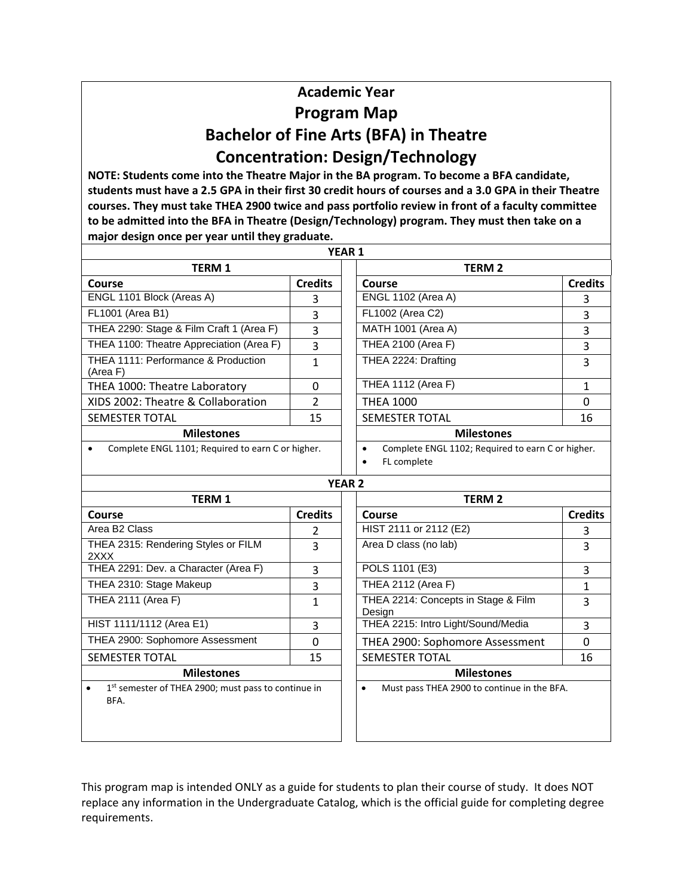## **Academic Year Program Map Bachelor of Fine Arts (BFA) in Theatre Concentration: Design/Technology**

**NOTE: Students come into the Theatre Major in the BA program. To become a BFA candidate, students must have a 2.5 GPA in their first 30 credit hours of courses and a 3.0 GPA in their Theatre courses. They must take THEA 2900 twice and pass portfolio review in front of a faculty committee to be admitted into the BFA in Theatre (Design/Technology) program. They must then take on a major design once per year until they graduate.**

|                                                                          |                | YEAR <sub>1</sub>                                                                          |                |
|--------------------------------------------------------------------------|----------------|--------------------------------------------------------------------------------------------|----------------|
| <b>TERM 1</b>                                                            |                | <b>TERM 2</b>                                                                              |                |
| Course                                                                   | <b>Credits</b> | Course                                                                                     | <b>Credits</b> |
| ENGL 1101 Block (Areas A)                                                | 3              | <b>ENGL 1102 (Area A)</b>                                                                  | 3              |
| FL1001 (Area B1)                                                         | 3              | FL1002 (Area C2)                                                                           | 3              |
| THEA 2290: Stage & Film Craft 1 (Area F)                                 | 3              | MATH 1001 (Area A)                                                                         | 3              |
| THEA 1100: Theatre Appreciation (Area F)                                 | 3              | <b>THEA 2100 (Area F)</b>                                                                  | 3              |
| THEA 1111: Performance & Production<br>(Area F)                          | $\mathbf{1}$   | THEA 2224: Drafting                                                                        | 3              |
| THEA 1000: Theatre Laboratory                                            | 0              | <b>THEA 1112 (Area F)</b>                                                                  | $\mathbf{1}$   |
| XIDS 2002: Theatre & Collaboration                                       | $\mathcal{P}$  | <b>THEA 1000</b>                                                                           | $\Omega$       |
| SEMESTER TOTAL                                                           | 15             | <b>SEMESTER TOTAL</b>                                                                      | 16             |
| <b>Milestones</b>                                                        |                | <b>Milestones</b>                                                                          |                |
| Complete ENGL 1101; Required to earn C or higher.                        |                | Complete ENGL 1102; Required to earn C or higher.<br>$\bullet$<br>FL complete<br>$\bullet$ |                |
|                                                                          |                | <b>YEAR 2</b>                                                                              |                |
| <b>TERM 1</b>                                                            |                | <b>TERM 2</b>                                                                              |                |
| Course                                                                   | <b>Credits</b> | <b>Course</b>                                                                              | <b>Credits</b> |
| Area B2 Class                                                            | 2              | HIST 2111 or 2112 (E2)                                                                     | 3              |
| THEA 2315: Rendering Styles or FILM<br>2XXX                              | $\overline{3}$ | Area D class (no lab)                                                                      | 3              |
| THEA 2291: Dev. a Character (Area F)                                     | 3              | POLS 1101 (E3)                                                                             | 3              |
| THEA 2310: Stage Makeup                                                  | $\overline{3}$ | THEA 2112 (Area F)                                                                         | $\mathbf{1}$   |
| <b>THEA 2111 (Area F)</b>                                                | $\mathbf{1}$   | THEA 2214: Concepts in Stage & Film<br>Design                                              | 3              |
| HIST 1111/1112 (Area E1)                                                 | 3              | THEA 2215: Intro Light/Sound/Media                                                         | 3              |
| THEA 2900: Sophomore Assessment                                          | $\Omega$       | THEA 2900: Sophomore Assessment                                                            | 0              |
| <b>SEMESTER TOTAL</b>                                                    | 15             | <b>SEMESTER TOTAL</b>                                                                      | 16             |
| <b>Milestones</b>                                                        |                | <b>Milestones</b>                                                                          |                |
| 1st semester of THEA 2900; must pass to continue in<br>$\bullet$<br>BFA. |                | Must pass THEA 2900 to continue in the BFA.<br>$\bullet$                                   |                |

This program map is intended ONLY as a guide for students to plan their course of study. It does NOT replace any information in the Undergraduate Catalog, which is the official guide for completing degree requirements.